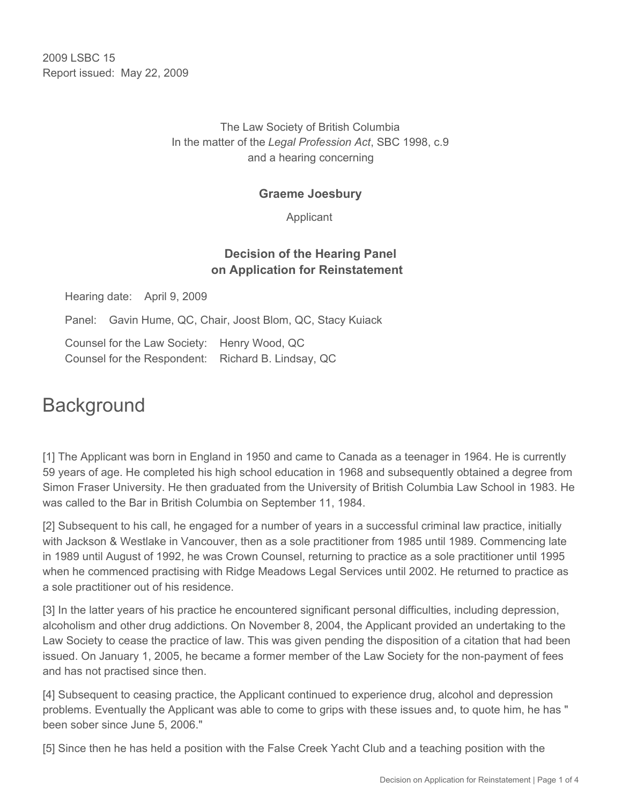2009 LSBC 15 Report issued: May 22, 2009

### The Law Society of British Columbia In the matter of the *Legal Profession Act*, SBC 1998, c.9 and a hearing concerning

### **Graeme Joesbury**

Applicant

## **Decision of the Hearing Panel on Application for Reinstatement**

Hearing date: April 9, 2009

Panel: Gavin Hume, QC, Chair, Joost Blom, QC, Stacy Kuiack

Counsel for the Law Society: Henry Wood, QC Counsel for the Respondent: Richard B. Lindsay, QC

# **Background**

[1] The Applicant was born in England in 1950 and came to Canada as a teenager in 1964. He is currently 59 years of age. He completed his high school education in 1968 and subsequently obtained a degree from Simon Fraser University. He then graduated from the University of British Columbia Law School in 1983. He was called to the Bar in British Columbia on September 11, 1984.

[2] Subsequent to his call, he engaged for a number of years in a successful criminal law practice, initially with Jackson & Westlake in Vancouver, then as a sole practitioner from 1985 until 1989. Commencing late in 1989 until August of 1992, he was Crown Counsel, returning to practice as a sole practitioner until 1995 when he commenced practising with Ridge Meadows Legal Services until 2002. He returned to practice as a sole practitioner out of his residence.

[3] In the latter years of his practice he encountered significant personal difficulties, including depression, alcoholism and other drug addictions. On November 8, 2004, the Applicant provided an undertaking to the Law Society to cease the practice of law. This was given pending the disposition of a citation that had been issued. On January 1, 2005, he became a former member of the Law Society for the non-payment of fees and has not practised since then.

[4] Subsequent to ceasing practice, the Applicant continued to experience drug, alcohol and depression problems. Eventually the Applicant was able to come to grips with these issues and, to quote him, he has " been sober since June 5, 2006."

[5] Since then he has held a position with the False Creek Yacht Club and a teaching position with the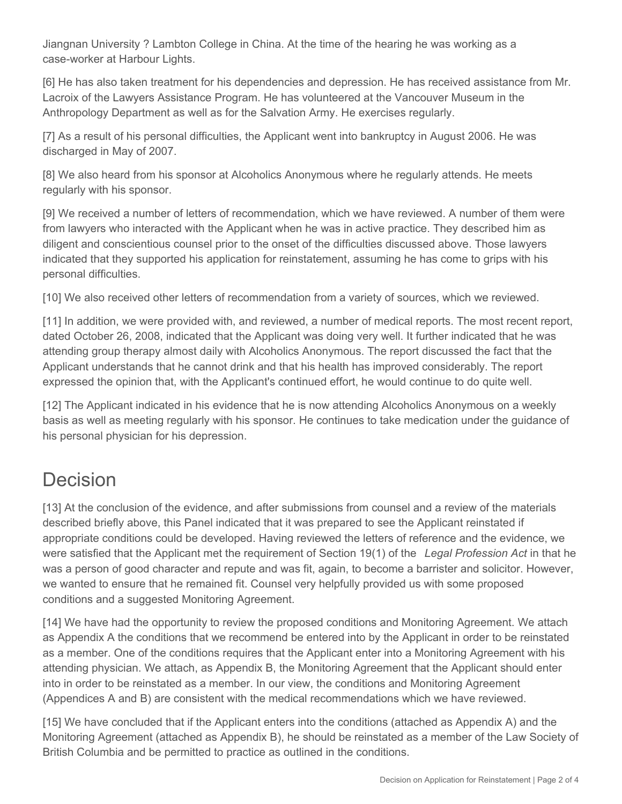Jiangnan University ? Lambton College in China. At the time of the hearing he was working as a case-worker at Harbour Lights.

[6] He has also taken treatment for his dependencies and depression. He has received assistance from Mr. Lacroix of the Lawyers Assistance Program. He has volunteered at the Vancouver Museum in the Anthropology Department as well as for the Salvation Army. He exercises regularly.

[7] As a result of his personal difficulties, the Applicant went into bankruptcy in August 2006. He was discharged in May of 2007.

[8] We also heard from his sponsor at Alcoholics Anonymous where he regularly attends. He meets regularly with his sponsor.

[9] We received a number of letters of recommendation, which we have reviewed. A number of them were from lawyers who interacted with the Applicant when he was in active practice. They described him as diligent and conscientious counsel prior to the onset of the difficulties discussed above. Those lawyers indicated that they supported his application for reinstatement, assuming he has come to grips with his personal difficulties.

[10] We also received other letters of recommendation from a variety of sources, which we reviewed.

[11] In addition, we were provided with, and reviewed, a number of medical reports. The most recent report, dated October 26, 2008, indicated that the Applicant was doing very well. It further indicated that he was attending group therapy almost daily with Alcoholics Anonymous. The report discussed the fact that the Applicant understands that he cannot drink and that his health has improved considerably. The report expressed the opinion that, with the Applicant's continued effort, he would continue to do quite well.

[12] The Applicant indicated in his evidence that he is now attending Alcoholics Anonymous on a weekly basis as well as meeting regularly with his sponsor. He continues to take medication under the guidance of his personal physician for his depression.

# Decision

[13] At the conclusion of the evidence, and after submissions from counsel and a review of the materials described briefly above, this Panel indicated that it was prepared to see the Applicant reinstated if appropriate conditions could be developed. Having reviewed the letters of reference and the evidence, we were satisfied that the Applicant met the requirement of Section 19(1) of the *Legal Profession Act* in that he was a person of good character and repute and was fit, again, to become a barrister and solicitor. However, we wanted to ensure that he remained fit. Counsel very helpfully provided us with some proposed conditions and a suggested Monitoring Agreement.

[14] We have had the opportunity to review the proposed conditions and Monitoring Agreement. We attach as Appendix A the conditions that we recommend be entered into by the Applicant in order to be reinstated as a member. One of the conditions requires that the Applicant enter into a Monitoring Agreement with his attending physician. We attach, as Appendix B, the Monitoring Agreement that the Applicant should enter into in order to be reinstated as a member. In our view, the conditions and Monitoring Agreement (Appendices A and B) are consistent with the medical recommendations which we have reviewed.

[15] We have concluded that if the Applicant enters into the conditions (attached as Appendix A) and the Monitoring Agreement (attached as Appendix B), he should be reinstated as a member of the Law Society of British Columbia and be permitted to practice as outlined in the conditions.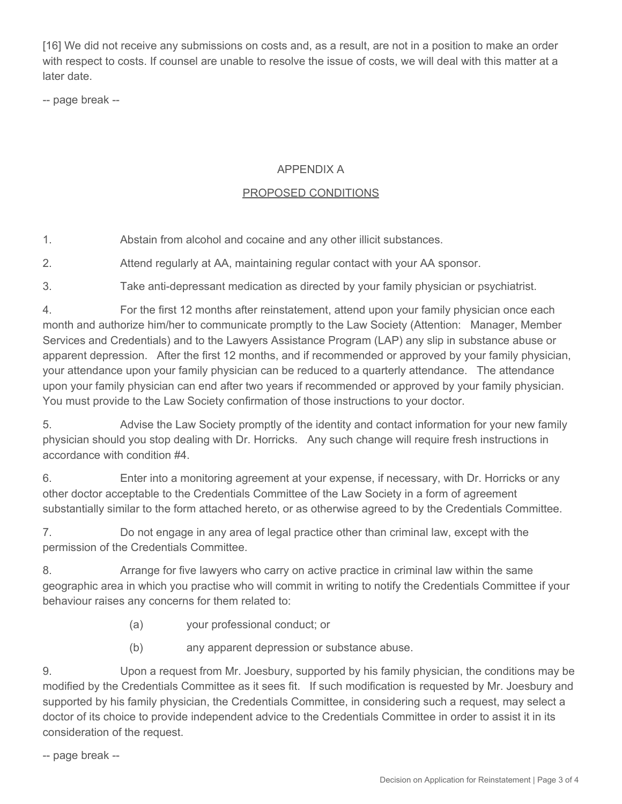[16] We did not receive any submissions on costs and, as a result, are not in a position to make an order with respect to costs. If counsel are unable to resolve the issue of costs, we will deal with this matter at a later date.

-- page break --

### APPENDIX A

### PROPOSED CONDITIONS

1. Abstain from alcohol and cocaine and any other illicit substances.

2. Attend regularly at AA, maintaining regular contact with your AA sponsor.

3. Take anti-depressant medication as directed by your family physician or psychiatrist.

4. For the first 12 months after reinstatement, attend upon your family physician once each month and authorize him/her to communicate promptly to the Law Society (Attention: Manager, Member Services and Credentials) and to the Lawyers Assistance Program (LAP) any slip in substance abuse or apparent depression. After the first 12 months, and if recommended or approved by your family physician, your attendance upon your family physician can be reduced to a quarterly attendance. The attendance upon your family physician can end after two years if recommended or approved by your family physician. You must provide to the Law Society confirmation of those instructions to your doctor.

5. Advise the Law Society promptly of the identity and contact information for your new family physician should you stop dealing with Dr. Horricks. Any such change will require fresh instructions in accordance with condition #4.

6. Enter into a monitoring agreement at your expense, if necessary, with Dr. Horricks or any other doctor acceptable to the Credentials Committee of the Law Society in a form of agreement substantially similar to the form attached hereto, or as otherwise agreed to by the Credentials Committee.

7. Do not engage in any area of legal practice other than criminal law, except with the permission of the Credentials Committee.

8. Arrange for five lawyers who carry on active practice in criminal law within the same geographic area in which you practise who will commit in writing to notify the Credentials Committee if your behaviour raises any concerns for them related to:

- (a) your professional conduct; or
- (b) any apparent depression or substance abuse.

9. Upon a request from Mr. Joesbury, supported by his family physician, the conditions may be modified by the Credentials Committee as it sees fit. If such modification is requested by Mr. Joesbury and supported by his family physician, the Credentials Committee, in considering such a request, may select a doctor of its choice to provide independent advice to the Credentials Committee in order to assist it in its consideration of the request.

-- page break --